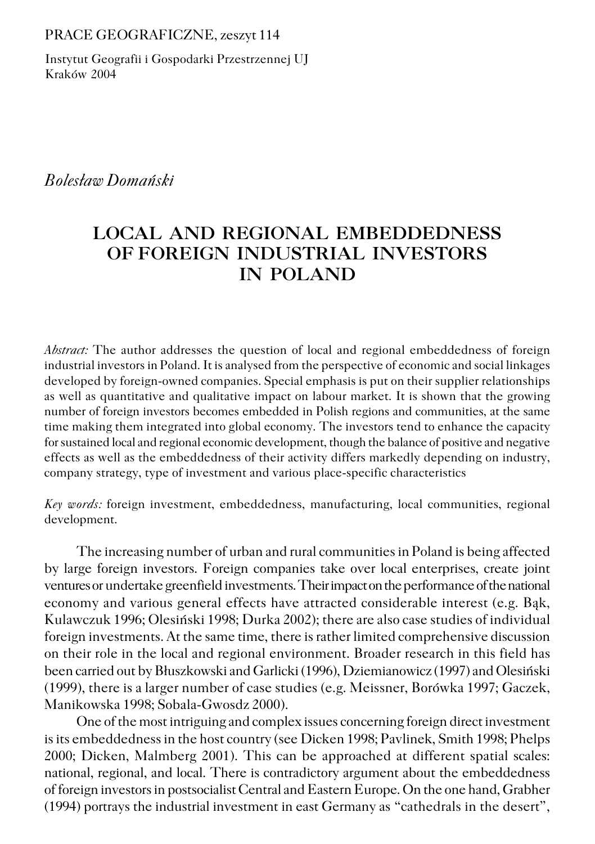#### PRACE GEOGRAFICZNE, zeszyt 114

Instytut Geografii i Gospodarki Przestrzennej UJ Kraków 2004

# *Bolesław Domański*

# **LOCAL AND REGIONAL EMBEDDEDNESS OF FOREIGN INDUSTRIAL INVESTORS IN POLAND**

*Abstract:* The author addresses the question of local and regional embeddedness of foreign industrial investors in Poland. It is analysed from the perspective of economic and social linkages developed by foreign−owned companies. Special emphasis is put on their supplier relationships as well as quantitative and qualitative impact on labour market. It is shown that the growing number of foreign investors becomes embedded in Polish regions and communities, at the same time making them integrated into global economy. The investors tend to enhance the capacity for sustained local and regional economic development, though the balance of positive and negative effects as well as the embeddedness of their activity differs markedly depending on industry, company strategy, type of investment and various place−specific characteristics

*Key words:* foreign investment, embeddedness, manufacturing, local communities, regional development.

The increasing number of urban and rural communities in Poland is being affected by large foreign investors. Foreign companies take over local enterprises, create joint ventures or undertake greenfield investments. Their impact on the performance of the national economy and various general effects have attracted considerable interest (e.g. Bąk, Kulawczuk 1996; Olesiński 1998; Durka 2002); there are also case studies of individual foreign investments. At the same time, there is rather limited comprehensive discussion on their role in the local and regional environment. Broader research in this field has been carried out by Błuszkowski and Garlicki (1996), Dziemianowicz (1997) and Olesiński (1999), there is a larger number of case studies (e.g. Meissner, Borówka 1997; Gaczek, Manikowska 1998; Sobala−Gwosdz 2000).

One of the most intriguing and complex issues concerning foreign direct investment is its embeddedness in the host country (see Dicken 1998; Pavlinek, Smith 1998; Phelps 2000; Dicken, Malmberg 2001). This can be approached at different spatial scales: national, regional, and local. There is contradictory argument about the embeddedness of foreign investors in postsocialist Central and Eastern Europe. On the one hand, Grabher (1994) portrays the industrial investment in east Germany as "cathedrals in the desert",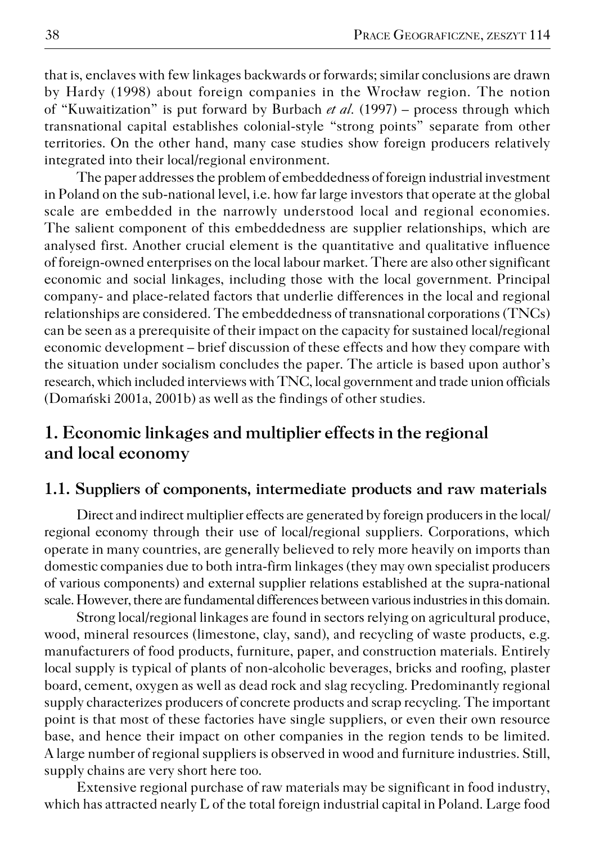that is, enclaves with few linkages backwards or forwards; similar conclusions are drawn by Hardy (1998) about foreign companies in the Wrocław region. The notion of "Kuwaitization" is put forward by Burbach *et al.* (1997) – process through which transnational capital establishes colonial−style "strong points" separate from other territories. On the other hand, many case studies show foreign producers relatively integrated into their local/regional environment.

The paper addresses the problem of embeddedness of foreign industrial investment in Poland on the sub−national level, i.e. how far large investors that operate at the global scale are embedded in the narrowly understood local and regional economies. The salient component of this embeddedness are supplier relationships, which are analysed first. Another crucial element is the quantitative and qualitative influence of foreign−owned enterprises on the local labour market. There are also other significant economic and social linkages, including those with the local government. Principal company− and place−related factors that underlie differences in the local and regional relationships are considered. The embeddedness of transnational corporations (TNCs) can be seen as a prerequisite of their impact on the capacity for sustained local/regional economic development – brief discussion of these effects and how they compare with the situation under socialism concludes the paper. The article is based upon author's research, which included interviews with TNC, local government and trade union officials (Domański 2001a, 2001b) as well as the findings of other studies.

# **1. Economic linkages and multiplier effects in the regional and local economy**

# **1.1. Suppliers of components, intermediate products and raw materials**

Direct and indirect multiplier effects are generated by foreign producers in the local/ regional economy through their use of local/regional suppliers. Corporations, which operate in many countries, are generally believed to rely more heavily on imports than domestic companies due to both intra−firm linkages (they may own specialist producers of various components) and external supplier relations established at the supra−national scale. However, there are fundamental differences between various industries in this domain.

Strong local/regional linkages are found in sectors relying on agricultural produce, wood, mineral resources (limestone, clay, sand), and recycling of waste products, e.g. manufacturers of food products, furniture, paper, and construction materials. Entirely local supply is typical of plants of non−alcoholic beverages, bricks and roofing, plaster board, cement, oxygen as well as dead rock and slag recycling. Predominantly regional supply characterizes producers of concrete products and scrap recycling. The important point is that most of these factories have single suppliers, or even their own resource base, and hence their impact on other companies in the region tends to be limited. A large number of regional suppliers is observed in wood and furniture industries. Still, supply chains are very short here too.

Extensive regional purchase of raw materials may be significant in food industry, which has attracted nearly L of the total foreign industrial capital in Poland. Large food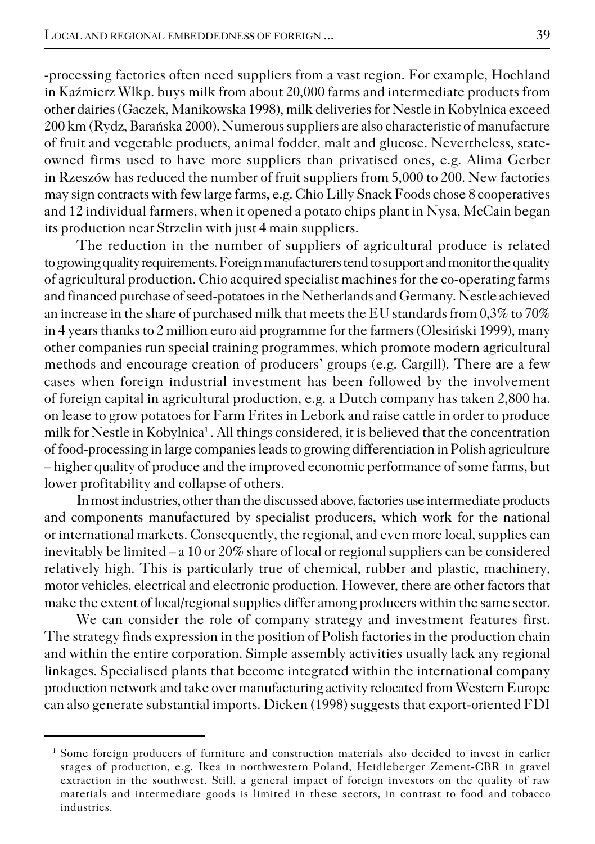−processing factories often need suppliers from a vast region. For example, Hochland in Kaźmierz Wlkp. buys milk from about 20,000 farms and intermediate products from other dairies (Gaczek, Manikowska 1998), milk deliveries for Nestle in Kobylnica exceed 200 km (Rydz, Barańska 2000). Numerous suppliers are also characteristic of manufacture of fruit and vegetable products, animal fodder, malt and glucose. Nevertheless, state− owned firms used to have more suppliers than privatised ones, e.g. Alima Gerber in Rzeszów has reduced the number of fruit suppliers from 5,000 to 200. New factories may sign contracts with few large farms, e.g. Chio Lilly Snack Foods chose 8 cooperatives and 12 individual farmers, when it opened a potato chips plant in Nysa, McCain began its production near Strzelin with just 4 main suppliers.

The reduction in the number of suppliers of agricultural produce is related to growing quality requirements. Foreign manufacturers tend to support and monitor the quality of agricultural production. Chio acquired specialist machines for the co−operating farms and financed purchase of seed−potatoes in the Netherlands and Germany. Nestle achieved an increase in the share of purchased milk that meets the EU standards from 0,3% to 70% in 4 years thanks to 2 million euro aid programme for the farmers (Olesiński 1999), many other companies run special training programmes, which promote modern agricultural methods and encourage creation of producers' groups (e.g. Cargill). There are a few cases when foreign industrial investment has been followed by the involvement of foreign capital in agricultural production, e.g. a Dutch company has taken 2,800 ha. on lease to grow potatoes for Farm Frites in Lebork and raise cattle in order to produce milk for Nestle in Kobylnica<sup>1</sup>. All things considered, it is believed that the concentration of food−processing in large companies leads to growing differentiation in Polish agriculture – higher quality of produce and the improved economic performance of some farms, but lower profitability and collapse of others.

In most industries, other than the discussed above, factories use intermediate products and components manufactured by specialist producers, which work for the national or international markets. Consequently, the regional, and even more local, supplies can inevitably be limited – a 10 or 20% share of local or regional suppliers can be considered relatively high. This is particularly true of chemical, rubber and plastic, machinery, motor vehicles, electrical and electronic production. However, there are other factors that make the extent of local/regional supplies differ among producers within the same sector.

We can consider the role of company strategy and investment features first. The strategy finds expression in the position of Polish factories in the production chain and within the entire corporation. Simple assembly activities usually lack any regional linkages. Specialised plants that become integrated within the international company production network and take over manufacturing activity relocated from Western Europe can also generate substantial imports. Dicken (1998) suggests that export−oriented FDI

<sup>&</sup>lt;sup>1</sup> Some foreign producers of furniture and construction materials also decided to invest in earlier stages of production, e.g. Ikea in northwestern Poland, Heidleberger Zement−CBR in gravel extraction in the southwest. Still, a general impact of foreign investors on the quality of raw materials and intermediate goods is limited in these sectors, in contrast to food and tobacco industries.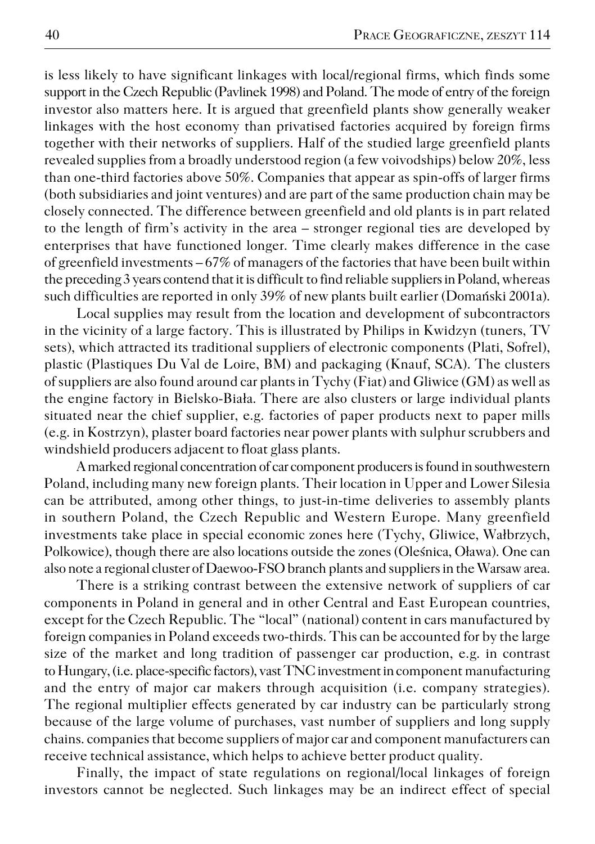is less likely to have significant linkages with local/regional firms, which finds some support in the Czech Republic (Pavlinek 1998) and Poland. The mode of entry of the foreign investor also matters here. It is argued that greenfield plants show generally weaker linkages with the host economy than privatised factories acquired by foreign firms together with their networks of suppliers. Half of the studied large greenfield plants revealed supplies from a broadly understood region (a few voivodships) below 20%, less than one−third factories above 50%. Companies that appear as spin−offs of larger firms (both subsidiaries and joint ventures) and are part of the same production chain may be closely connected. The difference between greenfield and old plants is in part related to the length of firm's activity in the area – stronger regional ties are developed by enterprises that have functioned longer. Time clearly makes difference in the case of greenfield investments – 67% of managers of the factories that have been built within the preceding 3 years contend that it is difficult to find reliable suppliers in Poland, whereas such difficulties are reported in only 39% of new plants built earlier (Domański 2001a).

Local supplies may result from the location and development of subcontractors in the vicinity of a large factory. This is illustrated by Philips in Kwidzyn (tuners, TV sets), which attracted its traditional suppliers of electronic components (Plati, Sofrel), plastic (Plastiques Du Val de Loire, BM) and packaging (Knauf, SCA). The clusters of suppliers are also found around car plants in Tychy (Fiat) and Gliwice (GM) as well as the engine factory in Bielsko−Biała. There are also clusters or large individual plants situated near the chief supplier, e.g. factories of paper products next to paper mills (e.g. in Kostrzyn), plaster board factories near power plants with sulphur scrubbers and windshield producers adjacent to float glass plants.

A marked regional concentration of car component producers is found in southwestern Poland, including many new foreign plants. Their location in Upper and Lower Silesia can be attributed, among other things, to just−in−time deliveries to assembly plants in southern Poland, the Czech Republic and Western Europe. Many greenfield investments take place in special economic zones here (Tychy, Gliwice, Wałbrzych, Polkowice), though there are also locations outside the zones (Oleśnica, Oława). One can also note a regional cluster of Daewoo−FSO branch plants and suppliers in the Warsaw area.

There is a striking contrast between the extensive network of suppliers of car components in Poland in general and in other Central and East European countries, except for the Czech Republic. The "local" (national) content in cars manufactured by foreign companies in Poland exceeds two−thirds. This can be accounted for by the large size of the market and long tradition of passenger car production, e.g. in contrast to Hungary, (i.e. place−specific factors), vast TNC investment in component manufacturing and the entry of major car makers through acquisition (i.e. company strategies). The regional multiplier effects generated by car industry can be particularly strong because of the large volume of purchases, vast number of suppliers and long supply chains. companies that become suppliers of major car and component manufacturers can receive technical assistance, which helps to achieve better product quality.

Finally, the impact of state regulations on regional/local linkages of foreign investors cannot be neglected. Such linkages may be an indirect effect of special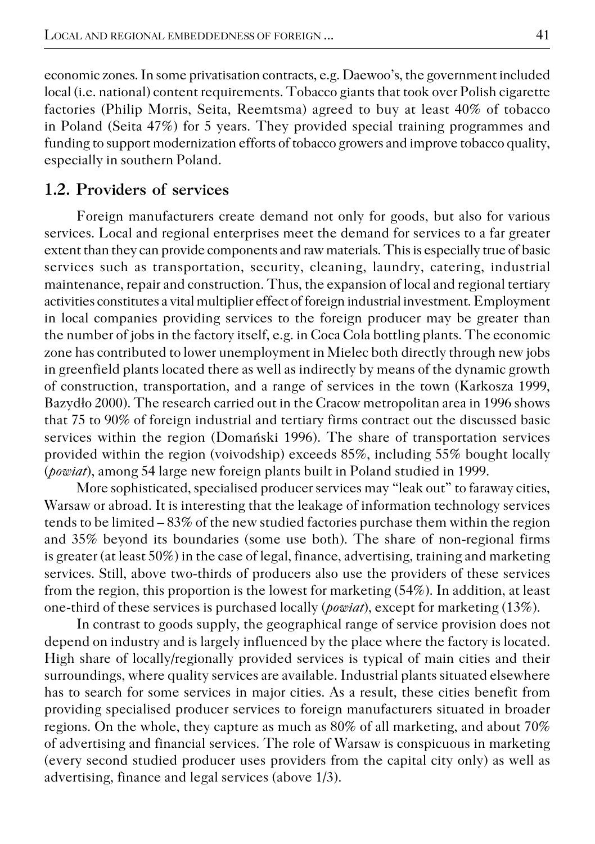economic zones. In some privatisation contracts, e.g. Daewoo's, the government included local (i.e. national) content requirements. Tobacco giants that took over Polish cigarette factories (Philip Morris, Seita, Reemtsma) agreed to buy at least 40% of tobacco in Poland (Seita 47%) for 5 years. They provided special training programmes and funding to support modernization efforts of tobacco growers and improve tobacco quality, especially in southern Poland.

## **1.2. Providers of services**

Foreign manufacturers create demand not only for goods, but also for various services. Local and regional enterprises meet the demand for services to a far greater extent than they can provide components and raw materials. This is especially true of basic services such as transportation, security, cleaning, laundry, catering, industrial maintenance, repair and construction. Thus, the expansion of local and regional tertiary activities constitutes a vital multiplier effect of foreign industrial investment. Employment in local companies providing services to the foreign producer may be greater than the number of jobs in the factory itself, e.g. in Coca Cola bottling plants. The economic zone has contributed to lower unemployment in Mielec both directly through new jobs in greenfield plants located there as well as indirectly by means of the dynamic growth of construction, transportation, and a range of services in the town (Karkosza 1999, Bazydło 2000). The research carried out in the Cracow metropolitan area in 1996 shows that 75 to 90% of foreign industrial and tertiary firms contract out the discussed basic services within the region (Domański 1996). The share of transportation services provided within the region (voivodship) exceeds 85%, including 55% bought locally (*powiat*), among 54 large new foreign plants built in Poland studied in 1999.

More sophisticated, specialised producer services may "leak out" to faraway cities, Warsaw or abroad. It is interesting that the leakage of information technology services tends to be limited – 83% of the new studied factories purchase them within the region and 35% beyond its boundaries (some use both). The share of non−regional firms is greater (at least 50%) in the case of legal, finance, advertising, training and marketing services. Still, above two−thirds of producers also use the providers of these services from the region, this proportion is the lowest for marketing (54%). In addition, at least one−third of these services is purchased locally (*powiat*), except for marketing (13%).

In contrast to goods supply, the geographical range of service provision does not depend on industry and is largely influenced by the place where the factory is located. High share of locally/regionally provided services is typical of main cities and their surroundings, where quality services are available. Industrial plants situated elsewhere has to search for some services in major cities. As a result, these cities benefit from providing specialised producer services to foreign manufacturers situated in broader regions. On the whole, they capture as much as 80% of all marketing, and about 70% of advertising and financial services. The role of Warsaw is conspicuous in marketing (every second studied producer uses providers from the capital city only) as well as advertising, finance and legal services (above 1/3).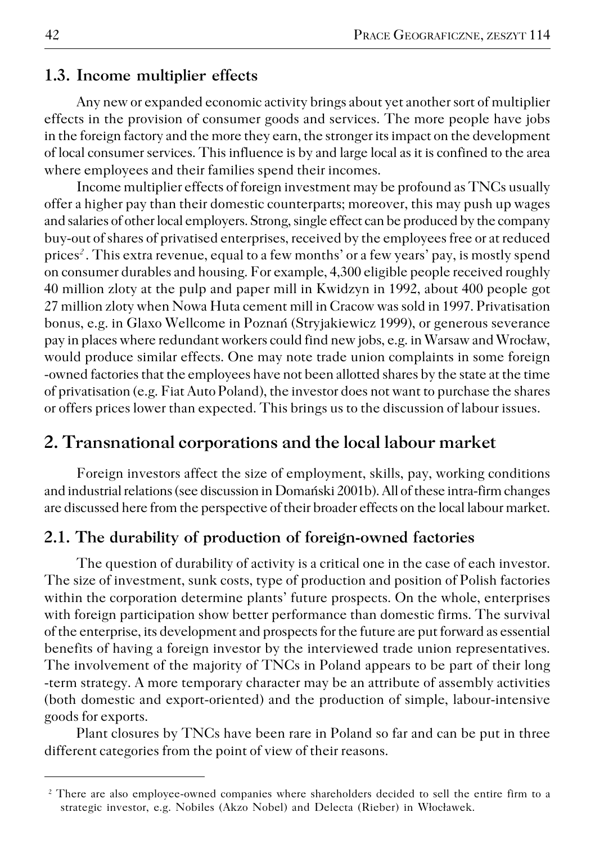### **1.3. Income multiplier effects**

Any new or expanded economic activity brings about yet another sort of multiplier effects in the provision of consumer goods and services. The more people have jobs in the foreign factory and the more they earn, the stronger its impact on the development of local consumer services. This influence is by and large local as it is confined to the area where employees and their families spend their incomes.

Income multiplier effects of foreign investment may be profound as TNCs usually offer a higher pay than their domestic counterparts; moreover, this may push up wages and salaries of other local employers. Strong, single effect can be produced by the company buy−out of shares of privatised enterprises, received by the employees free or at reduced prices*<sup>2</sup>* . This extra revenue, equal to a few months' or a few years' pay, is mostly spend on consumer durables and housing. For example, 4,300 eligible people received roughly 40 million zloty at the pulp and paper mill in Kwidzyn in 1992, about 400 people got 27 million zloty when Nowa Huta cement mill in Cracow was sold in 1997. Privatisation bonus, e.g. in Glaxo Wellcome in Poznań (Stryjakiewicz 1999), or generous severance pay in places where redundant workers could find new jobs, e.g. in Warsaw and Wrocław, would produce similar effects. One may note trade union complaints in some foreign −owned factories that the employees have not been allotted shares by the state at the time of privatisation (e.g. Fiat Auto Poland), the investor does not want to purchase the shares or offers prices lower than expected. This brings us to the discussion of labour issues.

## **2. Transnational corporations and the local labour market**

Foreign investors affect the size of employment, skills, pay, working conditions and industrial relations (see discussion in Domański 2001b). All of these intra−firm changes are discussed here from the perspective of their broader effects on the local labour market.

## **2.1. The durability of production of foreign−owned factories**

The question of durability of activity is a critical one in the case of each investor. The size of investment, sunk costs, type of production and position of Polish factories within the corporation determine plants' future prospects. On the whole, enterprises with foreign participation show better performance than domestic firms. The survival of the enterprise, its development and prospects for the future are put forward as essential benefits of having a foreign investor by the interviewed trade union representatives. The involvement of the majority of TNCs in Poland appears to be part of their long −term strategy. A more temporary character may be an attribute of assembly activities (both domestic and export−oriented) and the production of simple, labour−intensive goods for exports.

Plant closures by TNCs have been rare in Poland so far and can be put in three different categories from the point of view of their reasons.

<sup>&</sup>lt;sup>2</sup> There are also employee-owned companies where shareholders decided to sell the entire firm to a strategic investor, e.g. Nobiles (Akzo Nobel) and Delecta (Rieber) in Włocławek.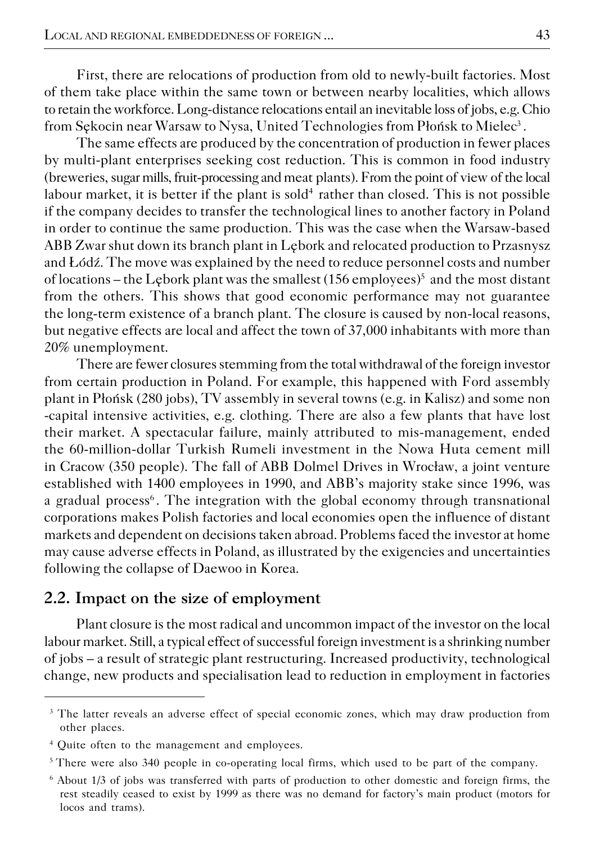First, there are relocations of production from old to newly−built factories. Most of them take place within the same town or between nearby localities, which allows to retain the workforce. Long−distance relocations entail an inevitable loss of jobs, e.g. Chio from Sękocin near Warsaw to Nysa, United Technologies from Płońsk to Mielec $^3$  .

The same effects are produced by the concentration of production in fewer places by multi−plant enterprises seeking cost reduction. This is common in food industry (breweries, sugar mills, fruit−processing and meat plants). From the point of view of the local labour market, it is better if the plant is  $\mathrm{sold}^4$  rather than closed. This is not possible if the company decides to transfer the technological lines to another factory in Poland in order to continue the same production. This was the case when the Warsaw−based ABB Zwar shut down its branch plant in Lębork and relocated production to Przasnysz and Łódź. The move was explained by the need to reduce personnel costs and number of locations – the Lębork plant was the smallest (156 employees) $^5$  and the most distant from the others. This shows that good economic performance may not guarantee the long−term existence of a branch plant. The closure is caused by non−local reasons, but negative effects are local and affect the town of 37,000 inhabitants with more than 20% unemployment.

There are fewer closures stemming from the total withdrawal of the foreign investor from certain production in Poland. For example, this happened with Ford assembly plant in Płońsk (280 jobs), TV assembly in several towns (e.g. in Kalisz) and some non −capital intensive activities, e.g. clothing. There are also a few plants that have lost their market. A spectacular failure, mainly attributed to mis−management, ended the 60−million−dollar Turkish Rumeli investment in the Nowa Huta cement mill in Cracow (350 people). The fall of ABB Dolmel Drives in Wrocław, a joint venture established with 1400 employees in 1990, and ABB's majority stake since 1996, was a gradual process<sup>6</sup>. The integration with the global economy through transnational corporations makes Polish factories and local economies open the influence of distant markets and dependent on decisions taken abroad. Problems faced the investor at home may cause adverse effects in Poland, as illustrated by the exigencies and uncertainties following the collapse of Daewoo in Korea.

### **2.2. Impact on the size of employment**

Plant closure is the most radical and uncommon impact of the investor on the local labour market. Still, a typical effect of successful foreign investment is a shrinking number of jobs – a result of strategic plant restructuring. Increased productivity, technological change, new products and specialisation lead to reduction in employment in factories

<sup>&</sup>lt;sup>3</sup> The latter reveals an adverse effect of special economic zones, which may draw production from other places.

<sup>4</sup> Quite often to the management and employees.

<sup>5</sup>There were also 340 people in co−operating local firms, which used to be part of the company.

<sup>6</sup> About 1/3 of jobs was transferred with parts of production to other domestic and foreign firms, the rest steadily ceased to exist by 1999 as there was no demand for factory's main product (motors for locos and trams).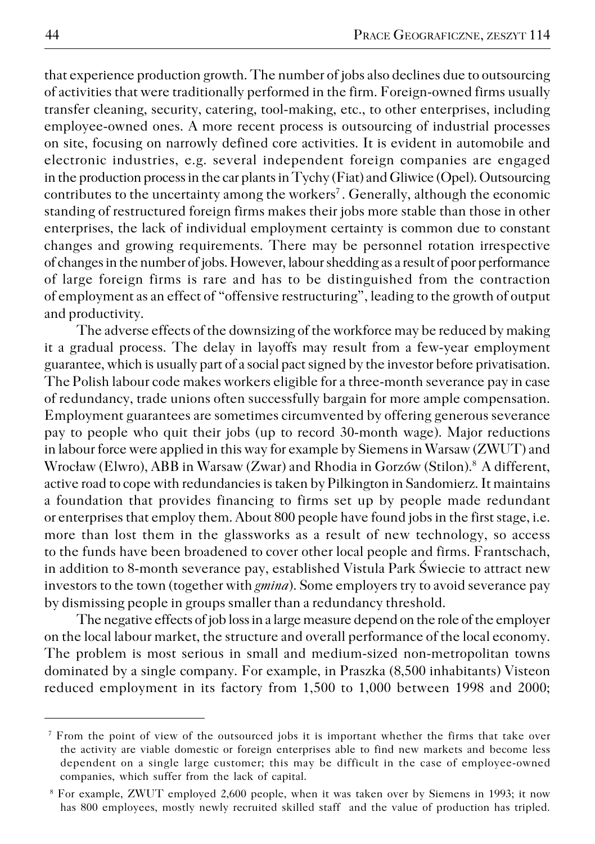that experience production growth. The number of jobs also declines due to outsourcing of activities that were traditionally performed in the firm. Foreign−owned firms usually transfer cleaning, security, catering, tool−making, etc., to other enterprises, including employee−owned ones. A more recent process is outsourcing of industrial processes on site, focusing on narrowly defined core activities. It is evident in automobile and electronic industries, e.g. several independent foreign companies are engaged in the production process in the car plants in Tychy (Fiat) and Gliwice (Opel). Outsourcing contributes to the uncertainty among the workers<sup>7</sup>. Generally, although the economic standing of restructured foreign firms makes their jobs more stable than those in other enterprises, the lack of individual employment certainty is common due to constant changes and growing requirements. There may be personnel rotation irrespective of changes in the number of jobs. However, labour shedding as a result of poor performance of large foreign firms is rare and has to be distinguished from the contraction of employment as an effect of "offensive restructuring", leading to the growth of output and productivity.

The adverse effects of the downsizing of the workforce may be reduced by making it a gradual process. The delay in layoffs may result from a few−year employment guarantee, which is usually part of a social pact signed by the investor before privatisation. The Polish labour code makes workers eligible for a three−month severance pay in case of redundancy, trade unions often successfully bargain for more ample compensation. Employment guarantees are sometimes circumvented by offering generous severance pay to people who quit their jobs (up to record 30−month wage). Major reductions in labour force were applied in this way for example by Siemens in Warsaw (ZWUT) and Wrocław (Elwro), ABB in Warsaw (Zwar) and Rhodia in Gorzów (Stilon).<sup>8</sup> A different, active road to cope with redundancies is taken by Pilkington in Sandomierz. It maintains a foundation that provides financing to firms set up by people made redundant or enterprises that employ them. About 800 people have found jobs in the first stage, i.e. more than lost them in the glassworks as a result of new technology, so access to the funds have been broadened to cover other local people and firms. Frantschach, in addition to 8−month severance pay, established Vistula Park Świecie to attract new investors to the town (together with *gmina*). Some employers try to avoid severance pay by dismissing people in groups smaller than a redundancy threshold.

The negative effects of job loss in a large measure depend on the role of the employer on the local labour market, the structure and overall performance of the local economy. The problem is most serious in small and medium−sized non−metropolitan towns dominated by a single company. For example, in Praszka (8,500 inhabitants) Visteon reduced employment in its factory from 1,500 to 1,000 between 1998 and 2000;

<sup>&</sup>lt;sup>7</sup> From the point of view of the outsourced jobs it is important whether the firms that take over the activity are viable domestic or foreign enterprises able to find new markets and become less dependent on a single large customer; this may be difficult in the case of employee−owned companies, which suffer from the lack of capital.

<sup>8</sup> For example, ZWUT employed 2,600 people, when it was taken over by Siemens in 1993; it now has 800 employees, mostly newly recruited skilled staff and the value of production has tripled.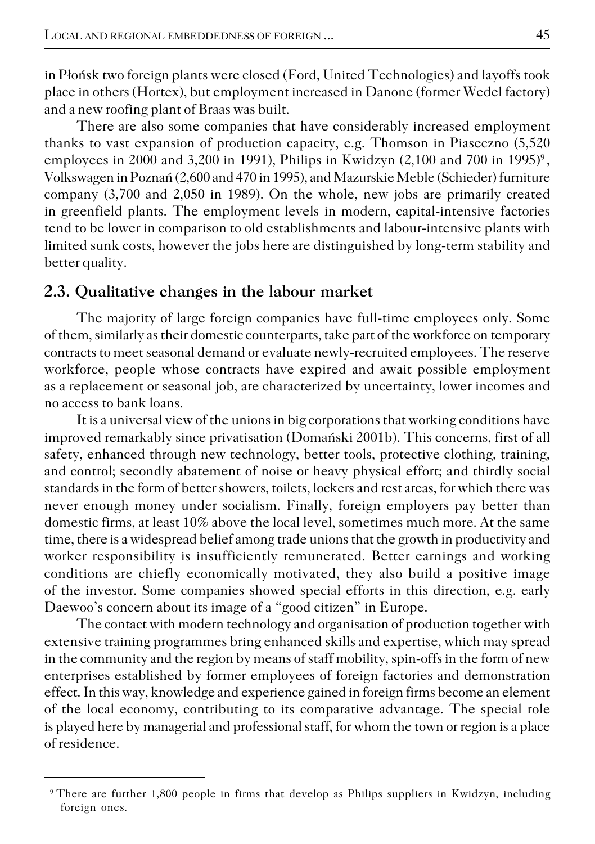in Płońsk two foreign plants were closed (Ford, United Technologies) and layoffs took place in others (Hortex), but employment increased in Danone (former Wedel factory) and a new roofing plant of Braas was built.

There are also some companies that have considerably increased employment thanks to vast expansion of production capacity, e.g. Thomson in Piaseczno (5,520 employees in 2000 and 3,200 in 1991), Philips in Kwidzyn (2,100 and 700 in 1995) $^{\circ}$ , Volkswagen in Poznań (2,600 and 470 in 1995), and Mazurskie Meble (Schieder) furniture company (3,700 and 2,050 in 1989). On the whole, new jobs are primarily created in greenfield plants. The employment levels in modern, capital−intensive factories tend to be lower in comparison to old establishments and labour−intensive plants with limited sunk costs, however the jobs here are distinguished by long−term stability and better quality.

### **2.3. Qualitative changes in the labour market**

The majority of large foreign companies have full−time employees only. Some of them, similarly as their domestic counterparts, take part of the workforce on temporary contracts to meet seasonal demand or evaluate newly−recruited employees. The reserve workforce, people whose contracts have expired and await possible employment as a replacement or seasonal job, are characterized by uncertainty, lower incomes and no access to bank loans.

It is a universal view of the unions in big corporations that working conditions have improved remarkably since privatisation (Domański 2001b). This concerns, first of all safety, enhanced through new technology, better tools, protective clothing, training, and control; secondly abatement of noise or heavy physical effort; and thirdly social standards in the form of better showers, toilets, lockers and rest areas, for which there was never enough money under socialism. Finally, foreign employers pay better than domestic firms, at least 10% above the local level, sometimes much more. At the same time, there is a widespread belief among trade unions that the growth in productivity and worker responsibility is insufficiently remunerated. Better earnings and working conditions are chiefly economically motivated, they also build a positive image of the investor. Some companies showed special efforts in this direction, e.g. early Daewoo's concern about its image of a "good citizen" in Europe.

The contact with modern technology and organisation of production together with extensive training programmes bring enhanced skills and expertise, which may spread in the community and the region by means of staff mobility, spin−offs in the form of new enterprises established by former employees of foreign factories and demonstration effect. In this way, knowledge and experience gained in foreign firms become an element of the local economy, contributing to its comparative advantage. The special role is played here by managerial and professional staff, for whom the town or region is a place of residence.

<sup>9</sup>There are further 1,800 people in firms that develop as Philips suppliers in Kwidzyn, including foreign ones.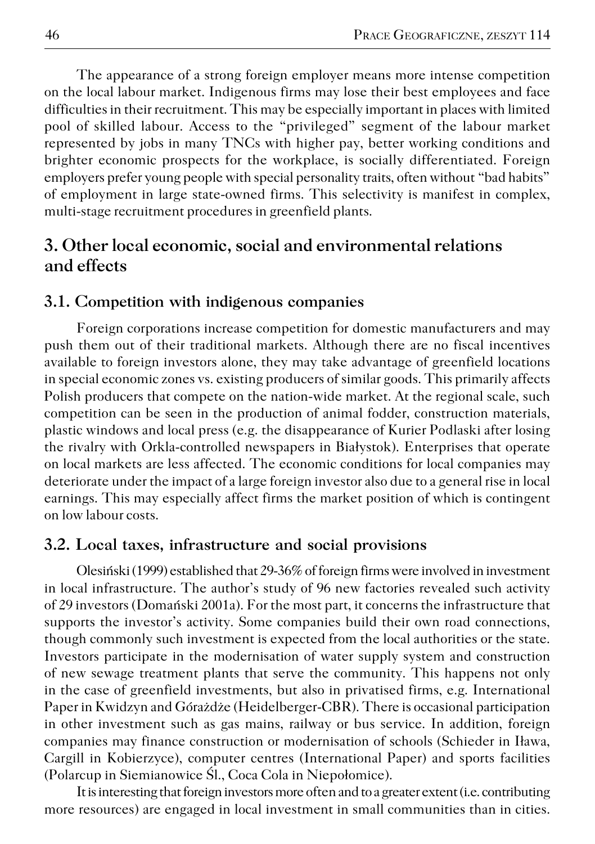The appearance of a strong foreign employer means more intense competition on the local labour market. Indigenous firms may lose their best employees and face difficulties in their recruitment. This may be especially important in places with limited pool of skilled labour. Access to the "privileged" segment of the labour market represented by jobs in many TNCs with higher pay, better working conditions and brighter economic prospects for the workplace, is socially differentiated. Foreign employers prefer young people with special personality traits, often without "bad habits" of employment in large state−owned firms. This selectivity is manifest in complex, multi−stage recruitment procedures in greenfield plants.

# **3. Other local economic, social and environmental relations and effects**

#### **3.1. Competition with indigenous companies**

Foreign corporations increase competition for domestic manufacturers and may push them out of their traditional markets. Although there are no fiscal incentives available to foreign investors alone, they may take advantage of greenfield locations in special economic zones vs. existing producers of similar goods. This primarily affects Polish producers that compete on the nation−wide market. At the regional scale, such competition can be seen in the production of animal fodder, construction materials, plastic windows and local press (e.g. the disappearance of Kurier Podlaski after losing the rivalry with Orkla−controlled newspapers in Białystok). Enterprises that operate on local markets are less affected. The economic conditions for local companies may deteriorate under the impact of a large foreign investor also due to a general rise in local earnings. This may especially affect firms the market position of which is contingent on low labour costs.

#### **3.2. Local taxes, infrastructure and social provisions**

Olesiński (1999) established that 29−36% of foreign firms were involved in investment in local infrastructure. The author's study of 96 new factories revealed such activity of 29 investors (Domański 2001a). For the most part, it concerns the infrastructure that supports the investor's activity. Some companies build their own road connections, though commonly such investment is expected from the local authorities or the state. Investors participate in the modernisation of water supply system and construction of new sewage treatment plants that serve the community. This happens not only in the case of greenfield investments, but also in privatised firms, e.g. International Paper in Kwidzyn and Górażdże (Heidelberger−CBR). There is occasional participation in other investment such as gas mains, railway or bus service. In addition, foreign companies may finance construction or modernisation of schools (Schieder in Iława, Cargill in Kobierzyce), computer centres (International Paper) and sports facilities (Polarcup in Siemianowice Śl., Coca Cola in Niepołomice).

It is interesting that foreign investors more often and to a greater extent (i.e. contributing more resources) are engaged in local investment in small communities than in cities.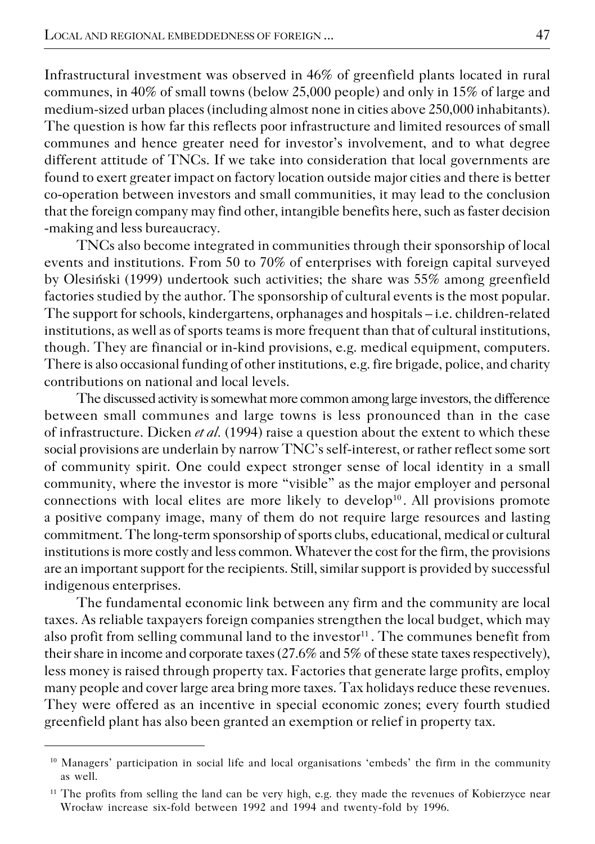Infrastructural investment was observed in 46% of greenfield plants located in rural communes, in 40% of small towns (below 25,000 people) and only in 15% of large and medium−sized urban places (including almost none in cities above 250,000 inhabitants). The question is how far this reflects poor infrastructure and limited resources of small communes and hence greater need for investor's involvement, and to what degree different attitude of TNCs. If we take into consideration that local governments are found to exert greater impact on factory location outside major cities and there is better co−operation between investors and small communities, it may lead to the conclusion that the foreign company may find other, intangible benefits here, such as faster decision −making and less bureaucracy.

TNCs also become integrated in communities through their sponsorship of local events and institutions. From 50 to 70% of enterprises with foreign capital surveyed by Olesiński (1999) undertook such activities; the share was 55% among greenfield factories studied by the author. The sponsorship of cultural events is the most popular. The support for schools, kindergartens, orphanages and hospitals – i.e. children−related institutions, as well as of sports teams is more frequent than that of cultural institutions, though. They are financial or in−kind provisions, e.g. medical equipment, computers. There is also occasional funding of other institutions, e.g. fire brigade, police, and charity contributions on national and local levels.

The discussed activity is somewhat more common among large investors, the difference between small communes and large towns is less pronounced than in the case of infrastructure. Dicken *et al.* (1994) raise a question about the extent to which these social provisions are underlain by narrow TNC's self−interest, or rather reflect some sort of community spirit. One could expect stronger sense of local identity in a small community, where the investor is more "visible" as the major employer and personal connections with local elites are more likely to develop<sup>10</sup>. All provisions promote a positive company image, many of them do not require large resources and lasting commitment. The long−term sponsorship of sports clubs, educational, medical or cultural institutions is more costly and less common. Whatever the cost for the firm, the provisions are an important support for the recipients. Still, similar support is provided by successful indigenous enterprises.

The fundamental economic link between any firm and the community are local taxes. As reliable taxpayers foreign companies strengthen the local budget, which may also profit from selling communal land to the investor $11$ . The communes benefit from their share in income and corporate taxes (27.6% and 5% of these state taxes respectively), less money is raised through property tax. Factories that generate large profits, employ many people and cover large area bring more taxes. Tax holidays reduce these revenues. They were offered as an incentive in special economic zones; every fourth studied greenfield plant has also been granted an exemption or relief in property tax.

<sup>&</sup>lt;sup>10</sup> Managers' participation in social life and local organisations 'embeds' the firm in the community as well.

<sup>&</sup>lt;sup>11</sup> The profits from selling the land can be very high, e.g. they made the revenues of Kobierzyce near Wrocław increase six−fold between 1992 and 1994 and twenty−fold by 1996.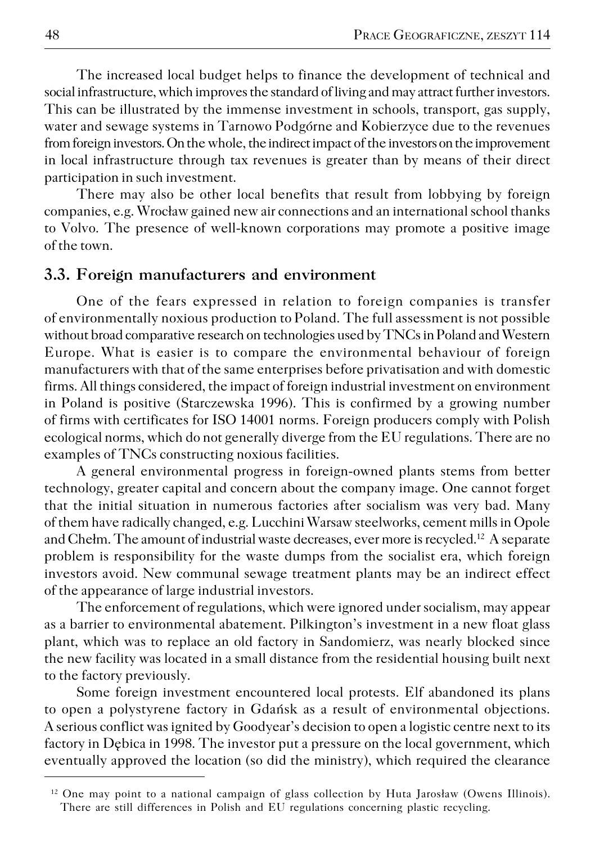The increased local budget helps to finance the development of technical and social infrastructure, which improves the standard of living and may attract further investors. This can be illustrated by the immense investment in schools, transport, gas supply, water and sewage systems in Tarnowo Podgórne and Kobierzyce due to the revenues from foreign investors. On the whole, the indirect impact of the investors on the improvement in local infrastructure through tax revenues is greater than by means of their direct participation in such investment.

There may also be other local benefits that result from lobbying by foreign companies, e.g. Wrocław gained new air connections and an international school thanks to Volvo. The presence of well−known corporations may promote a positive image of the town.

### **3.3. Foreign manufacturers and environment**

One of the fears expressed in relation to foreign companies is transfer of environmentally noxious production to Poland. The full assessment is not possible without broad comparative research on technologies used by TNCs in Poland and Western Europe. What is easier is to compare the environmental behaviour of foreign manufacturers with that of the same enterprises before privatisation and with domestic firms. All things considered, the impact of foreign industrial investment on environment in Poland is positive (Starczewska 1996). This is confirmed by a growing number of firms with certificates for ISO 14001 norms. Foreign producers comply with Polish ecological norms, which do not generally diverge from the EU regulations. There are no examples of TNCs constructing noxious facilities.

A general environmental progress in foreign−owned plants stems from better technology, greater capital and concern about the company image. One cannot forget that the initial situation in numerous factories after socialism was very bad. Many of them have radically changed, e.g. Lucchini Warsaw steelworks, cement mills in Opole and Chełm. The amount of industrial waste decreases, ever more is recycled.<sup>12</sup> A separate problem is responsibility for the waste dumps from the socialist era, which foreign investors avoid. New communal sewage treatment plants may be an indirect effect of the appearance of large industrial investors.

The enforcement of regulations, which were ignored under socialism, may appear as a barrier to environmental abatement. Pilkington's investment in a new float glass plant, which was to replace an old factory in Sandomierz, was nearly blocked since the new facility was located in a small distance from the residential housing built next to the factory previously.

Some foreign investment encountered local protests. Elf abandoned its plans to open a polystyrene factory in Gdańsk as a result of environmental objections. A serious conflict was ignited by Goodyear's decision to open a logistic centre next to its factory in Dębica in 1998. The investor put a pressure on the local government, which eventually approved the location (so did the ministry), which required the clearance

 $12$  One may point to a national campaign of glass collection by Huta Jarosław (Owens Illinois). There are still differences in Polish and EU regulations concerning plastic recycling.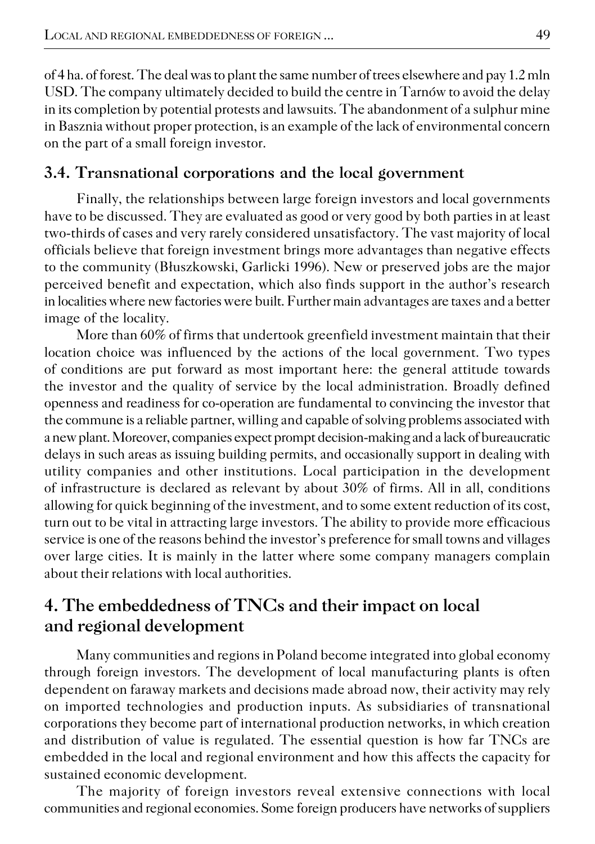of 4 ha. of forest. The deal was to plant the same number of trees elsewhere and pay 1.2 mln USD. The company ultimately decided to build the centre in Tarnów to avoid the delay in its completion by potential protests and lawsuits. The abandonment of a sulphur mine in Basznia without proper protection, is an example of the lack of environmental concern on the part of a small foreign investor.

# **3.4. Transnational corporations and the local government**

Finally, the relationships between large foreign investors and local governments have to be discussed. They are evaluated as good or very good by both parties in at least two−thirds of cases and very rarely considered unsatisfactory. The vast majority of local officials believe that foreign investment brings more advantages than negative effects to the community (Błuszkowski, Garlicki 1996). New or preserved jobs are the major perceived benefit and expectation, which also finds support in the author's research in localities where new factories were built. Further main advantages are taxes and a better image of the locality.

More than 60% of firms that undertook greenfield investment maintain that their location choice was influenced by the actions of the local government. Two types of conditions are put forward as most important here: the general attitude towards the investor and the quality of service by the local administration. Broadly defined openness and readiness for co−operation are fundamental to convincing the investor that the commune is a reliable partner, willing and capable of solving problems associated with a new plant. Moreover, companies expect prompt decision−making and a lack of bureaucratic delays in such areas as issuing building permits, and occasionally support in dealing with utility companies and other institutions. Local participation in the development of infrastructure is declared as relevant by about 30% of firms. All in all, conditions allowing for quick beginning of the investment, and to some extent reduction of its cost, turn out to be vital in attracting large investors. The ability to provide more efficacious service is one of the reasons behind the investor's preference for small towns and villages over large cities. It is mainly in the latter where some company managers complain about their relations with local authorities.

# **4. The embeddedness of TNCs and their impact on local and regional development**

Many communities and regions in Poland become integrated into global economy through foreign investors. The development of local manufacturing plants is often dependent on faraway markets and decisions made abroad now, their activity may rely on imported technologies and production inputs. As subsidiaries of transnational corporations they become part of international production networks, in which creation and distribution of value is regulated. The essential question is how far TNCs are embedded in the local and regional environment and how this affects the capacity for sustained economic development.

The majority of foreign investors reveal extensive connections with local communities and regional economies. Some foreign producers have networks of suppliers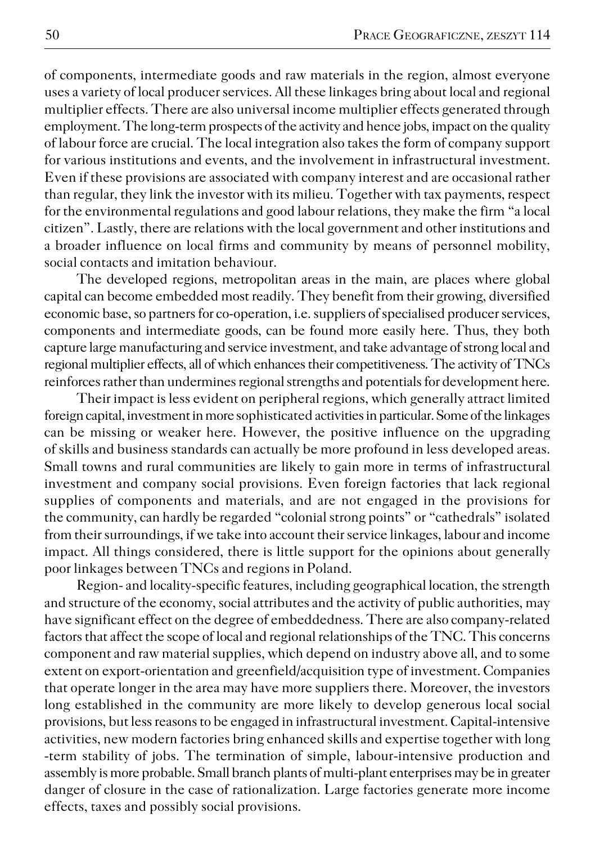of components, intermediate goods and raw materials in the region, almost everyone uses a variety of local producer services. All these linkages bring about local and regional multiplier effects. There are also universal income multiplier effects generated through employment. The long−term prospects of the activity and hence jobs, impact on the quality of labour force are crucial. The local integration also takes the form of company support for various institutions and events, and the involvement in infrastructural investment. Even if these provisions are associated with company interest and are occasional rather than regular, they link the investor with its milieu. Together with tax payments, respect for the environmental regulations and good labour relations, they make the firm "a local citizen". Lastly, there are relations with the local government and other institutions and a broader influence on local firms and community by means of personnel mobility, social contacts and imitation behaviour.

The developed regions, metropolitan areas in the main, are places where global capital can become embedded most readily. They benefit from their growing, diversified economic base, so partners for co−operation, i.e. suppliers of specialised producer services, components and intermediate goods, can be found more easily here. Thus, they both capture large manufacturing and service investment, and take advantage of strong local and regional multiplier effects, all of which enhances their competitiveness. The activity of TNCs reinforces rather than undermines regional strengths and potentials for development here.

Their impact is less evident on peripheral regions, which generally attract limited foreign capital, investment in more sophisticated activities in particular. Some of the linkages can be missing or weaker here. However, the positive influence on the upgrading of skills and business standards can actually be more profound in less developed areas. Small towns and rural communities are likely to gain more in terms of infrastructural investment and company social provisions. Even foreign factories that lack regional supplies of components and materials, and are not engaged in the provisions for the community, can hardly be regarded "colonial strong points" or "cathedrals" isolated from their surroundings, if we take into account their service linkages, labour and income impact. All things considered, there is little support for the opinions about generally poor linkages between TNCs and regions in Poland.

Region− and locality−specific features, including geographical location, the strength and structure of the economy, social attributes and the activity of public authorities, may have significant effect on the degree of embeddedness. There are also company−related factors that affect the scope of local and regional relationships of the TNC. This concerns component and raw material supplies, which depend on industry above all, and to some extent on export−orientation and greenfield/acquisition type of investment. Companies that operate longer in the area may have more suppliers there. Moreover, the investors long established in the community are more likely to develop generous local social provisions, but less reasons to be engaged in infrastructural investment. Capital−intensive activities, new modern factories bring enhanced skills and expertise together with long −term stability of jobs. The termination of simple, labour−intensive production and assembly is more probable. Small branch plants of multi−plant enterprises may be in greater danger of closure in the case of rationalization. Large factories generate more income effects, taxes and possibly social provisions.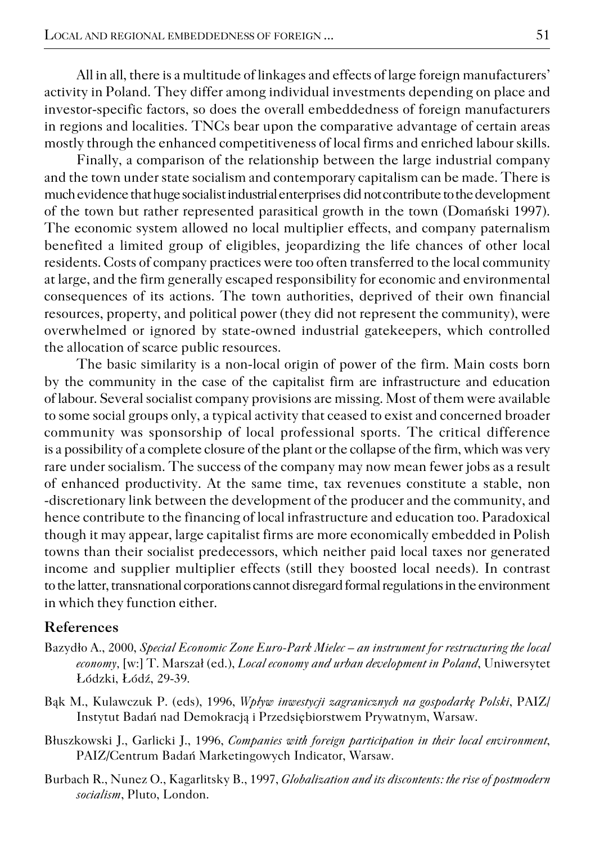All in all, there is a multitude of linkages and effects of large foreign manufacturers' activity in Poland. They differ among individual investments depending on place and investor−specific factors, so does the overall embeddedness of foreign manufacturers in regions and localities. TNCs bear upon the comparative advantage of certain areas mostly through the enhanced competitiveness of local firms and enriched labour skills.

Finally, a comparison of the relationship between the large industrial company and the town under state socialism and contemporary capitalism can be made. There is much evidence that huge socialist industrial enterprises did not contribute to the development of the town but rather represented parasitical growth in the town (Domański 1997). The economic system allowed no local multiplier effects, and company paternalism benefited a limited group of eligibles, jeopardizing the life chances of other local residents. Costs of company practices were too often transferred to the local community at large, and the firm generally escaped responsibility for economic and environmental consequences of its actions. The town authorities, deprived of their own financial resources, property, and political power (they did not represent the community), were overwhelmed or ignored by state−owned industrial gatekeepers, which controlled the allocation of scarce public resources.

The basic similarity is a non−local origin of power of the firm. Main costs born by the community in the case of the capitalist firm are infrastructure and education of labour. Several socialist company provisions are missing. Most of them were available to some social groups only, a typical activity that ceased to exist and concerned broader community was sponsorship of local professional sports. The critical difference is a possibility of a complete closure of the plant or the collapse of the firm, which was very rare under socialism. The success of the company may now mean fewer jobs as a result of enhanced productivity. At the same time, tax revenues constitute a stable, non −discretionary link between the development of the producer and the community, and hence contribute to the financing of local infrastructure and education too. Paradoxical though it may appear, large capitalist firms are more economically embedded in Polish towns than their socialist predecessors, which neither paid local taxes nor generated income and supplier multiplier effects (still they boosted local needs). In contrast to the latter, transnational corporations cannot disregard formal regulations in the environment in which they function either.

#### **References**

- Bazydło A., 2000, *Special Economic Zone Euro−Park Mielec an instrument for restructuring the local economy,* [w:] T. Marszał (ed.), *Local economy and urban development in Poland*, Uniwersytet Łódzki, Łódź, 29−39.
- Bąk M., Kulawczuk P. (eds), 1996, *Wpływ inwestycji zagranicznych na gospodarkę Polski*, PAIZ/ Instytut Badań nad Demokracją i Przedsiębiorstwem Prywatnym, Warsaw.
- Błuszkowski J., Garlicki J., 1996, *Companies with foreign participation in their local environment*, PAIZ/Centrum Badań Marketingowych Indicator, Warsaw.
- Burbach R., Nunez O., Kagarlitsky B., 1997, *Globalization and its discontents: the rise of postmodern socialism*, Pluto, London.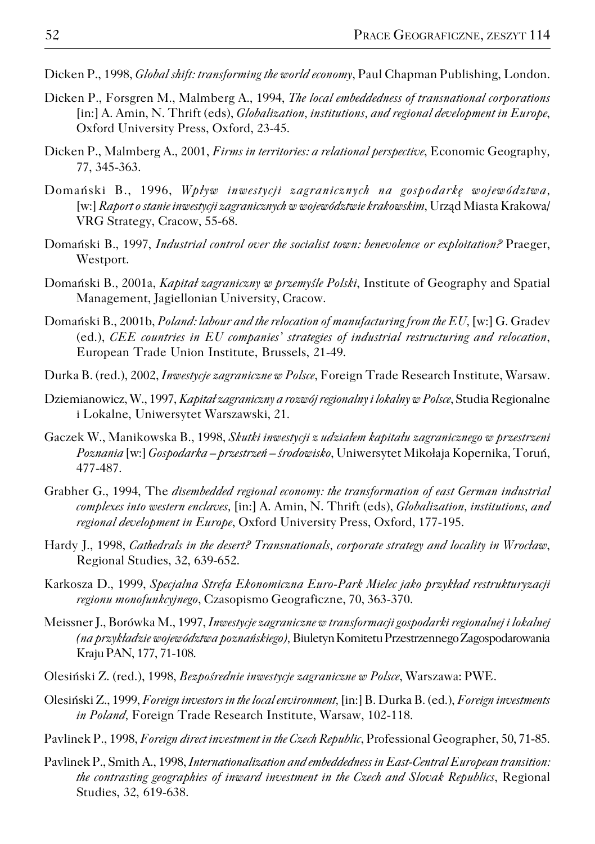- Dicken P., 1998, *Global shift: transforming the world economy*, Paul Chapman Publishing, London.
- Dicken P., Forsgren M., Malmberg A., 1994, *The local embeddedness of transnational corporations* [in:] A. Amin, N. Thrift (eds), *Globalization, institutions, and regional development in Europe*, Oxford University Press, Oxford, 23−45.
- Dicken P., Malmberg A., 2001, *Firms in territories: a relational perspective*, Economic Geography*,* 77, 345−363.
- Domański B., 1996, *Wpływ inwestycji zagranicznych na gospodarkę województwa,* [w:] *Raport o stanie inwestycji zagranicznych w województwie krakowskim*, Urząd Miasta Krakowa/ VRG Strategy, Cracow, 55−68.
- Domański B., 1997, *Industrial control over the socialist town: benevolence or exploitation?* Praeger, Westport.
- Domański B., 2001a, *Kapitał zagraniczny w przemyśle Polski*, Institute of Geography and Spatial Management, Jagiellonian University, Cracow.
- Domański B., 2001b, *Poland: labour and the relocation of manufacturing from the EU,* [w:] G. Gradev (ed.), *CEE countries in EU companies' strategies of industrial restructuring and relocation*, European Trade Union Institute, Brussels, 21−49.
- Durka B. (red.), 2002, *Inwestycje zagraniczne w Polsce*, Foreign Trade Research Institute, Warsaw.
- Dziemianowicz, W., 1997, *Kapitał zagraniczny a rozwój regionalny i lokalny w Polsce*, Studia Regionalne i Lokalne, Uniwersytet Warszawski, 21.
- Gaczek W., Manikowska B., 1998, *Skutki inwestycji z udziałem kapitału zagranicznego w przestrzeni Poznania* [w:] *Gospodarka – przestrzeń – środowisko*, Uniwersytet Mikołaja Kopernika, Toruń, 477−487.
- Grabher G., 1994, The *disembedded regional economy: the transformation of east German industrial complexes into western enclaves,* [in:] A. Amin, N. Thrift (eds), *Globalization, institutions, and regional development in Europe*, Oxford University Press, Oxford, 177−195.
- Hardy J., 1998, *Cathedrals in the desert? Transnationals, corporate strategy and locality in Wrocław*, Regional Studies, 32, 639−652.
- Karkosza D., 1999, *Specjalna Strefa Ekonomiczna Euro−Park Mielec jako przykład restrukturyzacji regionu monofunkcyjnego*, Czasopismo Geograficzne, 70, 363−370.
- Meissner J., Borówka M., 1997, *Inwestycje zagraniczne w transformacji gospodarki regionalnej i lokalnej (na przykładzie województwa poznańskiego),*Biuletyn KomitetuPrzestrzennego Zagospodarowania Kraju PAN, 177, 71−108.
- Olesiński Z. (red.), 1998, *Bezpośrednie inwestycje zagraniczne w Polsce*, Warszawa: PWE.
- Olesiński Z., 1999, *Foreign investors in the local environment,* [in:] B. Durka B. (ed.), *Foreign investments in Poland,* Foreign Trade Research Institute, Warsaw, 102−118.
- Pavlinek P., 1998, *Foreign direct investment in the Czech Republic*, Professional Geographer, 50, 71−85.
- Pavlinek P., Smith A., 1998, *Internationalization and embeddedness in East−Central European transition: the contrasting geographies of inward investment in the Czech and Slovak Republics*, Regional Studies, 32, 619−638.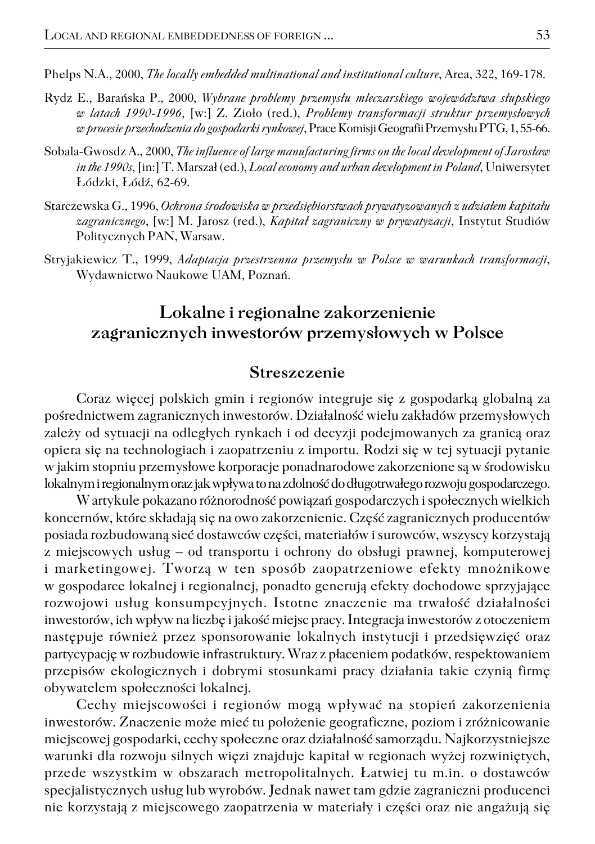Phelps N.A., 2000, *The locally embedded multinational and institutional culture*, Area, 322, 169−178.

- Rydz E., Barańska P., 2000, *Wybrane problemy przemysłu mleczarskiego województwa słupskiego w latach 1990−1996,* [w:] Z. Zioło (red.), *Problemy transformacji struktur przemysłowych w procesie przechodzenia do gospodarki rynkowej*, Prace Komisji Geografii Przemysłu PTG, 1, 55−66.
- Sobala−Gwosdz A., 2000, *The influence of large manufacturing firms on the local development of Jarosław in the 1990s,* [in:] T. Marszał (ed.), *Local economy and urban development in Poland*, Uniwersytet Łódzki, Łódź, 62−69.
- Starczewska G., 1996, *Ochrona środowiska w przedsiębiorstwach prywatyzowanych z udziałem kapitału zagranicznego*, [w:] M. Jarosz (red.), *Kapitał zagraniczny w prywatyzacji*, Instytut Studiów Politycznych PAN, Warsaw.
- Stryjakiewicz T., 1999, *Adaptacja przestrzenna przemysłu w Polsce w warunkach transformacji*, Wydawnictwo Naukowe UAM, Poznań.

# **Lokalne i regionalne zakorzenienie zagranicznych inwestorów przemysłowych w Polsce**

#### **Streszczenie**

Coraz więcej polskich gmin i regionów integruje się z gospodarką globalną za pośrednictwem zagranicznych inwestorów. Działalność wielu zakładów przemysłowych zależy od sytuacji na odległych rynkach i od decyzji podejmowanych za granicą oraz opiera się na technologiach i zaopatrzeniu z importu. Rodzi się w tej sytuacji pytanie w jakim stopniu przemysłowe korporacje ponadnarodowe zakorzenione są w środowisku lokalnym i regionalnym oraz jak wpływa to na zdolność do długotrwałego rozwoju gospodarczego.

W artykule pokazano różnorodność powiązań gospodarczych i społecznych wielkich koncernów, które składają się na owo zakorzenienie. Część zagranicznych producentów posiada rozbudowaną sieć dostawców części, materiałów i surowców, wszyscy korzystają z miejscowych usług – od transportu i ochrony do obsługi prawnej, komputerowej i marketingowej. Tworzą w ten sposób zaopatrzeniowe efekty mnożnikowe w gospodarce lokalnej i regionalnej, ponadto generują efekty dochodowe sprzyjające rozwojowi usług konsumpcyjnych. Istotne znaczenie ma trwałość działalności inwestorów, ich wpływ na liczbę i jakość miejsc pracy. Integracja inwestorów z otoczeniem następuje również przez sponsorowanie lokalnych instytucji i przedsięwzięć oraz partycypację w rozbudowie infrastruktury. Wraz z płaceniem podatków, respektowaniem przepisów ekologicznych i dobrymi stosunkami pracy działania takie czynią firmę obywatelem społeczności lokalnej.

Cechy miejscowości i regionów mogą wpływać na stopień zakorzenienia inwestorów. Znaczenie może mieć tu położenie geograficzne, poziom i zróżnicowanie miejscowej gospodarki, cechy społeczne oraz działalność samorządu. Najkorzystniejsze warunki dla rozwoju silnych więzi znajduje kapitał w regionach wyżej rozwiniętych, przede wszystkim w obszarach metropolitalnych. Łatwiej tu m.in. o dostawców specjalistycznych usług lub wyrobów. Jednak nawet tam gdzie zagraniczni producenci nie korzystają z miejscowego zaopatrzenia w materiały i części oraz nie angażują się